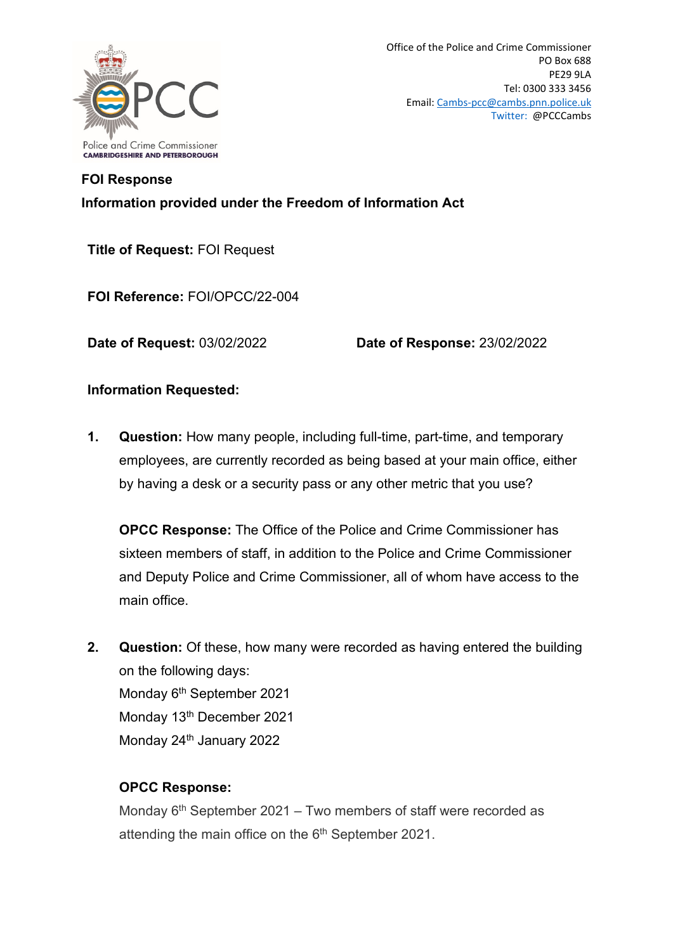

## **FOI Response Information provided under the Freedom of Information Act**

**Title of Request:** FOI Request

**FOI Reference:** FOI/OPCC/22-004

**Date of Request:** 03/02/2022 **Date of Response:** 23/02/2022

## **Information Requested:**

**1. Question:** How many people, including full-time, part-time, and temporary employees, are currently recorded as being based at your main office, either by having a desk or a security pass or any other metric that you use?

**OPCC Response:** The Office of the Police and Crime Commissioner has sixteen members of staff, in addition to the Police and Crime Commissioner and Deputy Police and Crime Commissioner, all of whom have access to the main office.

**2. Question:** Of these, how many were recorded as having entered the building on the following days: Monday 6<sup>th</sup> September 2021 Monday 13<sup>th</sup> December 2021 Monday 24<sup>th</sup> January 2022

## **OPCC Response:**

Monday  $6<sup>th</sup>$  September 2021 – Two members of staff were recorded as attending the main office on the 6<sup>th</sup> September 2021.